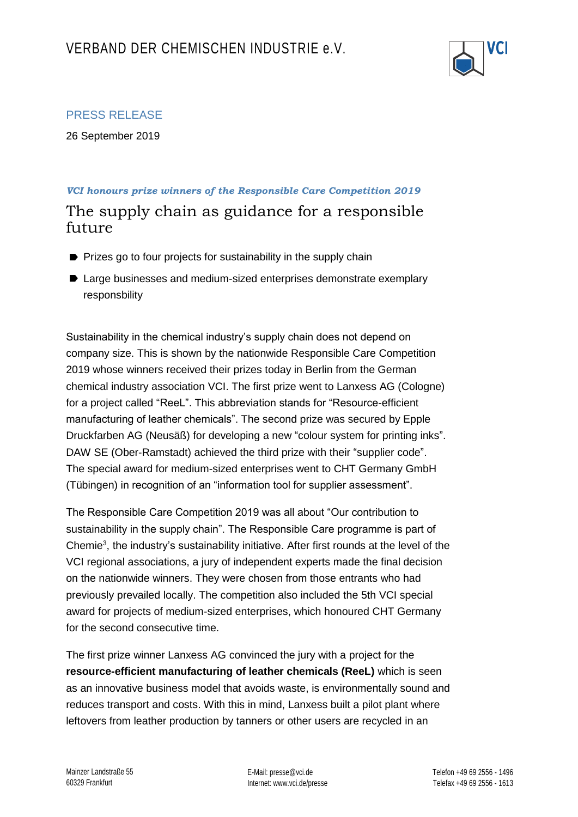

## PRESS RELEASE

26 September 2019

## *VCI honours prize winners of the Responsible Care Competition 2019* The supply chain as guidance for a responsible future

- **P** Prizes go to four projects for sustainability in the supply chain
- Large businesses and medium-sized enterprises demonstrate exemplary responsbility

Sustainability in the chemical industry's supply chain does not depend on company size. This is shown by the nationwide Responsible Care Competition 2019 whose winners received their prizes today in Berlin from the German chemical industry association VCI. The first prize went to Lanxess AG (Cologne) for a project called "ReeL". This abbreviation stands for "Resource-efficient manufacturing of leather chemicals". The second prize was secured by Epple Druckfarben AG (Neusäß) for developing a new "colour system for printing inks". DAW SE (Ober-Ramstadt) achieved the third prize with their "supplier code". The special award for medium-sized enterprises went to CHT Germany GmbH (Tübingen) in recognition of an "information tool for supplier assessment".

The Responsible Care Competition 2019 was all about "Our contribution to sustainability in the supply chain". The Responsible Care programme is part of Chemie<sup>3</sup>, the industry's sustainability initiative. After first rounds at the level of the VCI regional associations, a jury of independent experts made the final decision on the nationwide winners. They were chosen from those entrants who had previously prevailed locally. The competition also included the 5th VCI special award for projects of medium-sized enterprises, which honoured CHT Germany for the second consecutive time.

The first prize winner Lanxess AG convinced the jury with a project for the **resource-efficient manufacturing of leather chemicals (ReeL)** which is seen as an innovative business model that avoids waste, is environmentally sound and reduces transport and costs. With this in mind, Lanxess built a pilot plant where leftovers from leather production by tanners or other users are recycled in an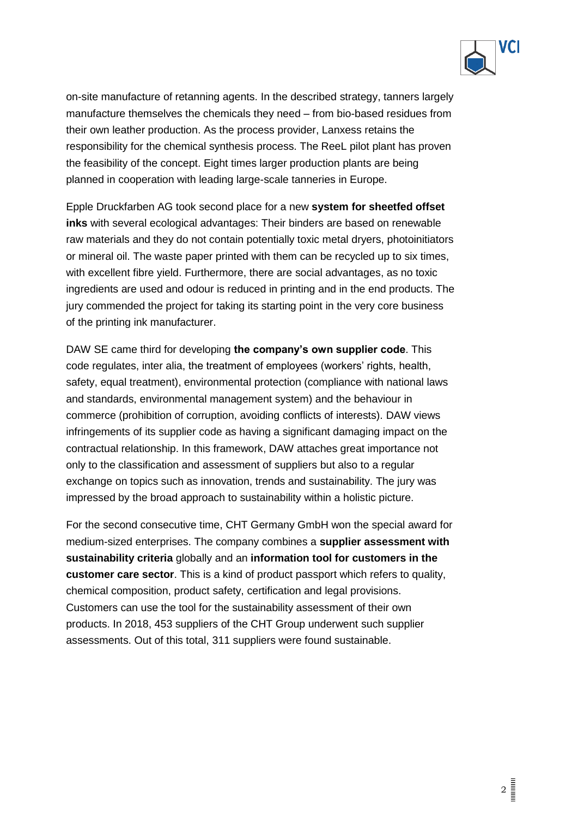

on-site manufacture of retanning agents. In the described strategy, tanners largely manufacture themselves the chemicals they need – from bio-based residues from their own leather production. As the process provider, Lanxess retains the responsibility for the chemical synthesis process. The ReeL pilot plant has proven the feasibility of the concept. Eight times larger production plants are being planned in cooperation with leading large-scale tanneries in Europe.

Epple Druckfarben AG took second place for a new **system for sheetfed offset inks** with several ecological advantages: Their binders are based on renewable raw materials and they do not contain potentially toxic metal dryers, photoinitiators or mineral oil. The waste paper printed with them can be recycled up to six times, with excellent fibre yield. Furthermore, there are social advantages, as no toxic ingredients are used and odour is reduced in printing and in the end products. The jury commended the project for taking its starting point in the very core business of the printing ink manufacturer.

DAW SE came third for developing **the company's own supplier code**. This code regulates, inter alia, the treatment of employees (workers' rights, health, safety, equal treatment), environmental protection (compliance with national laws and standards, environmental management system) and the behaviour in commerce (prohibition of corruption, avoiding conflicts of interests). DAW views infringements of its supplier code as having a significant damaging impact on the contractual relationship. In this framework, DAW attaches great importance not only to the classification and assessment of suppliers but also to a regular exchange on topics such as innovation, trends and sustainability. The jury was impressed by the broad approach to sustainability within a holistic picture.

For the second consecutive time, CHT Germany GmbH won the special award for medium-sized enterprises. The company combines a **supplier assessment with sustainability criteria** globally and an **information tool for customers in the customer care sector**. This is a kind of product passport which refers to quality, chemical composition, product safety, certification and legal provisions. Customers can use the tool for the sustainability assessment of their own products. In 2018, 453 suppliers of the CHT Group underwent such supplier assessments. Out of this total, 311 suppliers were found sustainable.